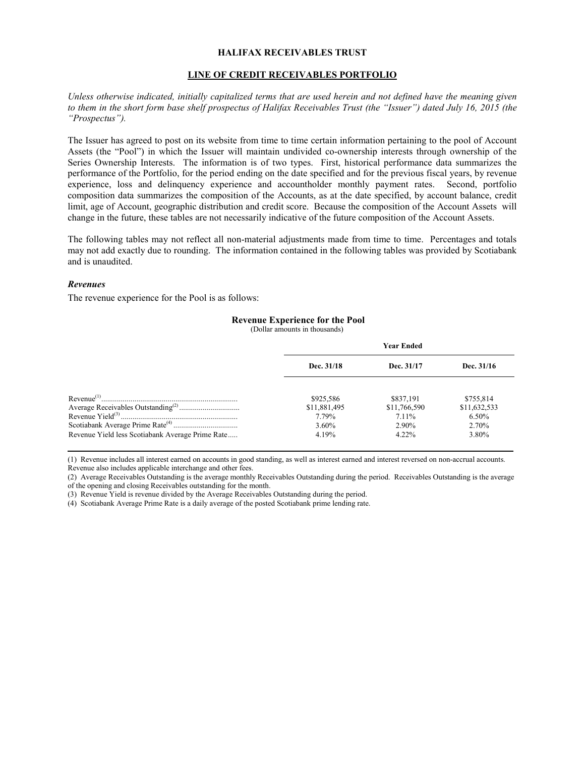### **HALIFAX RECEIVABLES TRUST**

#### **LINE OF CREDIT RECEIVABLES PORTFOLIO**

*Unless otherwise indicated, initially capitalized terms that are used herein and not defined have the meaning given to them in the short form base shelf prospectus of Halifax Receivables Trust (the "Issuer") dated July 16, 2015 (the "Prospectus").*

The Issuer has agreed to post on its website from time to time certain information pertaining to the pool of Account Assets (the "Pool") in which the Issuer will maintain undivided co-ownership interests through ownership of the Series Ownership Interests. The information is of two types. First, historical performance data summarizes the performance of the Portfolio, for the period ending on the date specified and for the previous fiscal years, by revenue experience, loss and delinquency experience and accountholder monthly payment rates. Second, portfolio composition data summarizes the composition of the Accounts, as at the date specified, by account balance, credit limit, age of Account, geographic distribution and credit score. Because the composition of the Account Assets will change in the future, these tables are not necessarily indicative of the future composition of the Account Assets.

The following tables may not reflect all non-material adjustments made from time to time. Percentages and totals may not add exactly due to rounding. The information contained in the following tables was provided by Scotiabank and is unaudited.

### *Revenues*

The revenue experience for the Pool is as follows:

### **Revenue Experience for the Pool**

(Dollar amounts in thousands)

|                                                  | <b>Year Ended</b>                                       |                                                           |                                                         |
|--------------------------------------------------|---------------------------------------------------------|-----------------------------------------------------------|---------------------------------------------------------|
|                                                  | Dec. 31/18                                              | Dec. 31/17                                                | Dec. 31/16                                              |
| Revenue Yield less Scotiabank Average Prime Rate | \$925,586<br>\$11,881,495<br>7.79%<br>$3.60\%$<br>4.19% | \$837,191<br>\$11,766,590<br>7.11%<br>$2.90\%$<br>$422\%$ | \$755,814<br>\$11,632,533<br>$6.50\%$<br>2.70%<br>3.80% |

(1) Revenue includes all interest earned on accounts in good standing, as well as interest earned and interest reversed on non-accrual accounts. Revenue also includes applicable interchange and other fees.

(2) Average Receivables Outstanding is the average monthly Receivables Outstanding during the period. Receivables Outstanding is the average of the opening and closing Receivables outstanding for the month.

(3) Revenue Yield is revenue divided by the Average Receivables Outstanding during the period.

(4) Scotiabank Average Prime Rate is a daily average of the posted Scotiabank prime lending rate.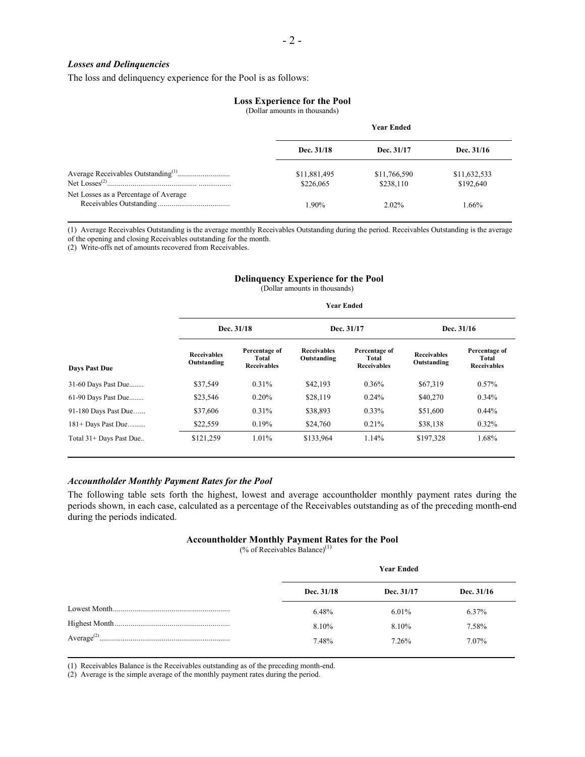### *Losses and Delinquencies*

The loss and delinquency experience for the Pool is as follows:

#### **Loss Experience for the Pool**

(Dollar amounts in thousands)

|                                       | <b>Year Ended</b>         |                           |                           |
|---------------------------------------|---------------------------|---------------------------|---------------------------|
|                                       | Dec. 31/18                | Dec. 31/17                | Dec. 31/16                |
|                                       | \$11,881,495<br>\$226,065 | \$11,766,590<br>\$238,110 | \$11,632,533<br>\$192,640 |
| Net Losses as a Percentage of Average | $1.90\%$                  | $2.02\%$                  | 1.66%                     |

(1) Average Receivables Outstanding is the average monthly Receivables Outstanding during the period. Receivables Outstanding is the average of the opening and closing Receivables outstanding for the month.

(2) Write-offs net of amounts recovered from Receivables.

## **Delinquency Experience for the Pool**

(Dollar amounts in thousands)

|                         |                                   |                                              | <b>Year Ended</b>                 |                                              |                                   |                                              |
|-------------------------|-----------------------------------|----------------------------------------------|-----------------------------------|----------------------------------------------|-----------------------------------|----------------------------------------------|
|                         |                                   | Dec. 31/18                                   |                                   | Dec. 31/17                                   |                                   | Dec. 31/16                                   |
| <b>Days Past Due</b>    | <b>Receivables</b><br>Outstanding | Percentage of<br>Total<br><b>Receivables</b> | <b>Receivables</b><br>Outstanding | Percentage of<br>Total<br><b>Receivables</b> | <b>Receivables</b><br>Outstanding | Percentage of<br>Total<br><b>Receivables</b> |
| 31-60 Days Past Due     | \$37,549                          | 0.31%                                        | \$42,193                          | 0.36%                                        | \$67,319                          | $0.57\%$                                     |
| 61-90 Days Past Due     | \$23,546                          | 0.20%                                        | \$28,119                          | 0.24%                                        | \$40,270                          | $0.34\%$                                     |
| 91-180 Days Past Due    | \$37,606                          | 0.31%                                        | \$38,893                          | $0.33\%$                                     | \$51,600                          | $0.44\%$                                     |
| $181+$ Days Past Due    | \$22,559                          | 0.19%                                        | \$24,760                          | 0.21%                                        | \$38,138                          | $0.32\%$                                     |
| Total 31+ Days Past Due | \$121,259                         | 1.01%                                        | \$133,964                         | 1.14%                                        | \$197,328                         | 1.68%                                        |

### *Accountholder Monthly Payment Rates for the Pool*

The following table sets forth the highest, lowest and average accountholder monthly payment rates during the periods shown, in each case, calculated as a percentage of the Receivables outstanding as of the preceding month-end during the periods indicated.

## **Accountholder Monthly Payment Rates for the Pool**

 $(%$  of Receivables Balance)<sup>(1)</sup>

| <b>Year Ended</b> |            |            |
|-------------------|------------|------------|
| Dec. 31/18        | Dec. 31/17 | Dec. 31/16 |
| 6.48%             | $6.01\%$   | 6.37%      |
| 8.10%             | 8.10%      | 7.58%      |
| 7.48%             | 7.26%      | 7.07%      |

(1) Receivables Balance is the Receivables outstanding as of the preceding month-end.

(2) Average is the simple average of the monthly payment rates during the period.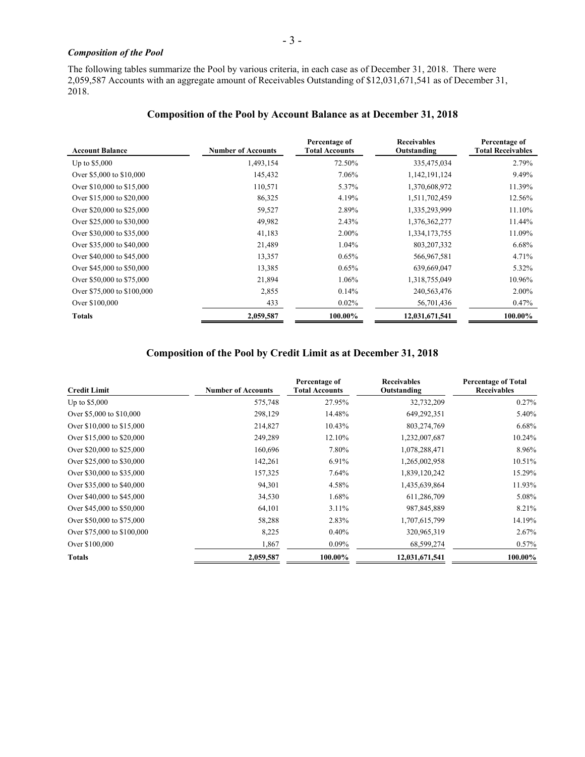## *Composition of the Pool*

The following tables summarize the Pool by various criteria, in each case as of December 31, 2018. There were 2,059,587 Accounts with an aggregate amount of Receivables Outstanding of \$12,031,671,541 as of December 31, 2018.

## **Composition of the Pool by Account Balance as at December 31, 2018**

| <b>Account Balance</b>     | <b>Number of Accounts</b> | Percentage of<br><b>Total Accounts</b> | <b>Receivables</b><br>Outstanding | Percentage of<br><b>Total Receivables</b> |
|----------------------------|---------------------------|----------------------------------------|-----------------------------------|-------------------------------------------|
| Up to $$5,000$             | 1,493,154                 | 72.50%                                 | 335,475,034                       | 2.79%                                     |
| Over \$5,000 to \$10,000   | 145,432                   | 7.06%                                  | 1,142,191,124                     | 9.49%                                     |
| Over \$10,000 to \$15,000  | 110,571                   | 5.37%                                  | 1,370,608,972                     | 11.39%                                    |
| Over \$15,000 to \$20,000  | 86,325                    | 4.19%                                  | 1,511,702,459                     | 12.56%                                    |
| Over \$20,000 to \$25,000  | 59,527                    | 2.89%                                  | 1,335,293,999                     | 11.10%                                    |
| Over \$25,000 to \$30,000  | 49,982                    | 2.43%                                  | 1,376,362,277                     | 11.44%                                    |
| Over \$30,000 to \$35,000  | 41,183                    | $2.00\%$                               | 1,334,173,755                     | 11.09%                                    |
| Over \$35,000 to \$40,000  | 21,489                    | 1.04%                                  | 803, 207, 332                     | $6.68\%$                                  |
| Over \$40,000 to \$45,000  | 13,357                    | 0.65%                                  | 566,967,581                       | 4.71%                                     |
| Over \$45,000 to \$50,000  | 13,385                    | 0.65%                                  | 639,669,047                       | 5.32%                                     |
| Over \$50,000 to \$75,000  | 21,894                    | 1.06%                                  | 1,318,755,049                     | 10.96%                                    |
| Over \$75,000 to \$100,000 | 2,855                     | 0.14%                                  | 240, 563, 476                     | $2.00\%$                                  |
| Over \$100,000             | 433                       | $0.02\%$                               | 56,701,436                        | 0.47%                                     |
| <b>Totals</b>              | 2,059,587                 | 100.00%                                | 12,031,671,541                    | 100.00%                                   |

## **Composition of the Pool by Credit Limit as at December 31, 2018**

| <b>Credit Limit</b>        | <b>Number of Accounts</b> | Percentage of<br><b>Total Accounts</b> | <b>Receivables</b><br>Outstanding | <b>Percentage of Total</b><br><b>Receivables</b> |
|----------------------------|---------------------------|----------------------------------------|-----------------------------------|--------------------------------------------------|
| Up to $$5,000$             | 575,748                   | 27.95%                                 | 32,732,209                        | 0.27%                                            |
| Over \$5,000 to \$10,000   | 298,129                   | 14.48%                                 | 649,292,351                       | 5.40%                                            |
| Over \$10,000 to \$15,000  | 214,827                   | 10.43%                                 | 803,274,769                       | 6.68%                                            |
| Over \$15,000 to \$20,000  | 249,289                   | 12.10%                                 | 1,232,007,687                     | 10.24%                                           |
| Over \$20,000 to \$25,000  | 160,696                   | 7.80%                                  | 1,078,288,471                     | 8.96%                                            |
| Over \$25,000 to \$30,000  | 142,261                   | 6.91%                                  | 1,265,002,958                     | 10.51%                                           |
| Over \$30,000 to \$35,000  | 157,325                   | 7.64%                                  | 1,839,120,242                     | 15.29%                                           |
| Over \$35,000 to \$40,000  | 94,301                    | 4.58%                                  | 1,435,639,864                     | 11.93%                                           |
| Over \$40,000 to \$45,000  | 34,530                    | 1.68%                                  | 611,286,709                       | 5.08%                                            |
| Over \$45,000 to \$50,000  | 64,101                    | 3.11%                                  | 987, 845, 889                     | 8.21%                                            |
| Over \$50,000 to \$75,000  | 58,288                    | 2.83%                                  | 1,707,615,799                     | 14.19%                                           |
| Over \$75,000 to \$100,000 | 8,225                     | 0.40%                                  | 320,965,319                       | 2.67%                                            |
| Over \$100,000             | 1,867                     | $0.09\%$                               | 68,599,274                        | 0.57%                                            |
| <b>Totals</b>              | 2,059,587                 | 100.00%                                | 12,031,671,541                    | 100.00%                                          |